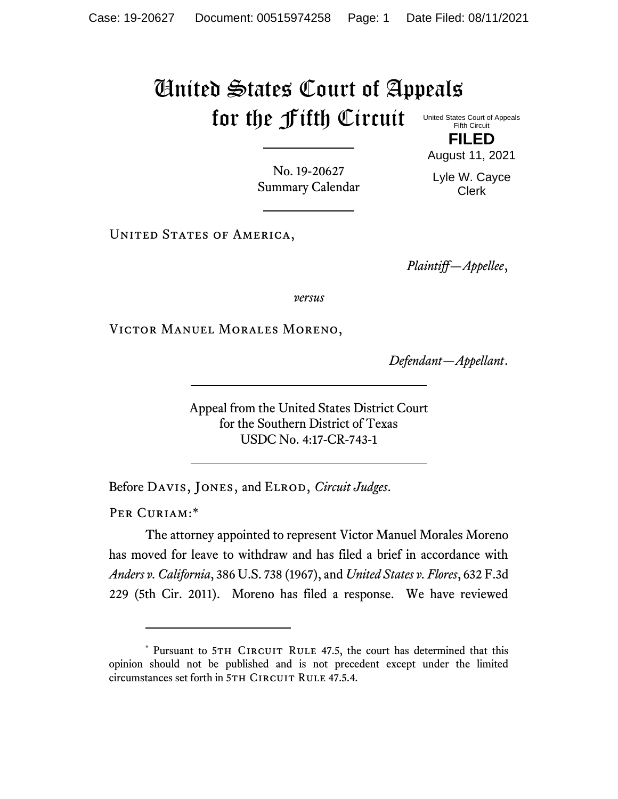## United States Court of Appeals for the Fifth Circuit United States Court of Appeals

Fifth Circuit **FILED**

No. 19-20627 Summary Calendar August 11, 2021 Lyle W. Cayce

Clerk

UNITED STATES OF AMERICA,

*Plaintiff—Appellee*,

*versus*

Victor Manuel Morales Moreno,

*Defendant—Appellant*.

Appeal from the United States District Court for the Southern District of Texas USDC No. 4:17-CR-743-1

Before Davis, Jones, and Elrod, *Circuit Judges*.

PER CURIAM:\*

The attorney appointed to represent Victor Manuel Morales Moreno has moved for leave to withdraw and has filed a brief in accordance with *Anders v. California*, 386 U.S. 738 (1967), and *United States v. Flores*, 632 F.3d 229 (5th Cir. 2011). Moreno has filed a response. We have reviewed

<sup>\*</sup> Pursuant to 5TH CIRCUIT RULE 47.5, the court has determined that this opinion should not be published and is not precedent except under the limited circumstances set forth in 5TH CIRCUIT RULE 47.5.4.